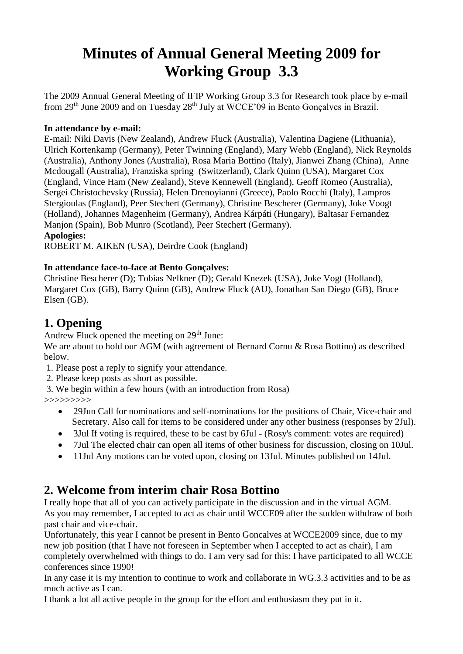# **Minutes of Annual General Meeting 2009 for Working Group 3.3**

The 2009 Annual General Meeting of IFIP Working Group 3.3 for Research took place by e-mail from 29<sup>th</sup> June 2009 and on Tuesday 28<sup>th</sup> July at WCCE'09 in Bento Gonçalves in Brazil.

### **In attendance by e-mail:**

E-mail: Niki Davis (New Zealand), Andrew Fluck (Australia), Valentina Dagiene (Lithuania), Ulrich Kortenkamp (Germany), Peter Twinning (England), Mary Webb (England), Nick Reynolds (Australia), Anthony Jones (Australia), Rosa Maria Bottino (Italy), Jianwei Zhang (China), Anne Mcdougall (Australia), Franziska spring (Switzerland), Clark Quinn (USA), Margaret Cox (England, Vince Ham (New Zealand), Steve Kennewell (England), Geoff Romeo (Australia), Sergei Christochevsky (Russia), Helen Drenoyianni (Greece), Paolo Rocchi (Italy), Lampros Stergioulas (England), Peer Stechert (Germany), Christine Bescherer (Germany), Joke Voogt (Holland), Johannes Magenheim (Germany), Andrea Kárpáti (Hungary), Baltasar Fernandez Manjon (Spain), Bob Munro (Scotland), Peer Stechert (Germany).

### **Apologies:**

ROBERT M. AIKEN (USA), Deirdre Cook (England)

### **In attendance face-to-face at Bento Gonçalves:**

Christine Bescherer (D); Tobias Nelkner (D); Gerald Knezek (USA), Joke Vogt (Holland), Margaret Cox (GB), Barry Quinn (GB), Andrew Fluck (AU), Jonathan San Diego (GB), Bruce Elsen (GB).

# **1. Opening**

Andrew Fluck opened the meeting on  $29<sup>th</sup>$  June:

We are about to hold our AGM (with agreement of Bernard Cornu & Rosa Bottino) as described below.

1. Please post a reply to signify your attendance.

- 2. Please keep posts as short as possible.
- 3. We begin within a few hours (with an introduction from Rosa)

>>>>>>>>>

- 29Jun Call for nominations and self-nominations for the positions of Chair, Vice-chair and Secretary. Also call for items to be considered under any other business (responses by 2Jul).
- 3Jul If voting is required, these to be cast by 6Jul (Rosy's comment: votes are required)
- 7Jul The elected chair can open all items of other business for discussion, closing on 10Jul.
- 11Jul Any motions can be voted upon, closing on 13Jul. Minutes published on 14Jul.

## **2. Welcome from interim chair Rosa Bottino**

I really hope that all of you can actively participate in the discussion and in the virtual AGM. As you may remember, I accepted to act as chair until WCCE09 after the sudden withdraw of both past chair and vice-chair.

Unfortunately, this year I cannot be present in Bento Goncalves at WCCE2009 since, due to my new job position (that I have not foreseen in September when I accepted to act as chair), I am completely overwhelmed with things to do. I am very sad for this: I have participated to all WCCE conferences since 1990!

In any case it is my intention to continue to work and collaborate in WG.3.3 activities and to be as much active as I can.

I thank a lot all active people in the group for the effort and enthusiasm they put in it.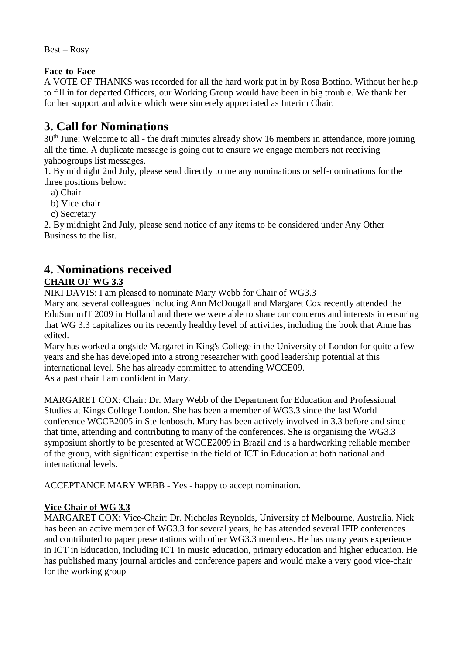Best – Rosy

### **Face-to-Face**

A VOTE OF THANKS was recorded for all the hard work put in by Rosa Bottino. Without her help to fill in for departed Officers, our Working Group would have been in big trouble. We thank her for her support and advice which were sincerely appreciated as Interim Chair.

# **3. Call for Nominations**

30<sup>th</sup> June: Welcome to all - the draft minutes already show 16 members in attendance, more joining all the time. A duplicate message is going out to ensure we engage members not receiving yahoogroups list messages.

1. By midnight 2nd July, please send directly to me any nominations or self-nominations for the three positions below:

- a) Chair
- b) Vice-chair
- c) Secretary

2. By midnight 2nd July, please send notice of any items to be considered under Any Other Business to the list.

# **4. Nominations received**

## **CHAIR OF WG 3.3**

NIKI DAVIS: I am pleased to nominate Mary Webb for Chair of WG3.3

Mary and several colleagues including Ann McDougall and Margaret Cox recently attended the EduSummIT 2009 in Holland and there we were able to share our concerns and interests in ensuring that WG 3.3 capitalizes on its recently healthy level of activities, including the book that Anne has edited.

Mary has worked alongside Margaret in King's College in the University of London for quite a few years and she has developed into a strong researcher with good leadership potential at this international level. She has already committed to attending WCCE09. As a past chair I am confident in Mary.

MARGARET COX: Chair: Dr. Mary Webb of the Department for Education and Professional Studies at Kings College London. She has been a member of WG3.3 since the last World conference WCCE2005 in Stellenbosch. Mary has been actively involved in 3.3 before and since that time, attending and contributing to many of the conferences. She is organising the WG3.3 symposium shortly to be presented at WCCE2009 in Brazil and is a hardworking reliable member of the group, with significant expertise in the field of ICT in Education at both national and international levels.

ACCEPTANCE MARY WEBB - Yes - happy to accept nomination.

## **Vice Chair of WG 3.3**

MARGARET COX: Vice-Chair: Dr. Nicholas Reynolds, University of Melbourne, Australia. Nick has been an active member of WG3.3 for several years, he has attended several IFIP conferences and contributed to paper presentations with other WG3.3 members. He has many years experience in ICT in Education, including ICT in music education, primary education and higher education. He has published many journal articles and conference papers and would make a very good vice-chair for the working group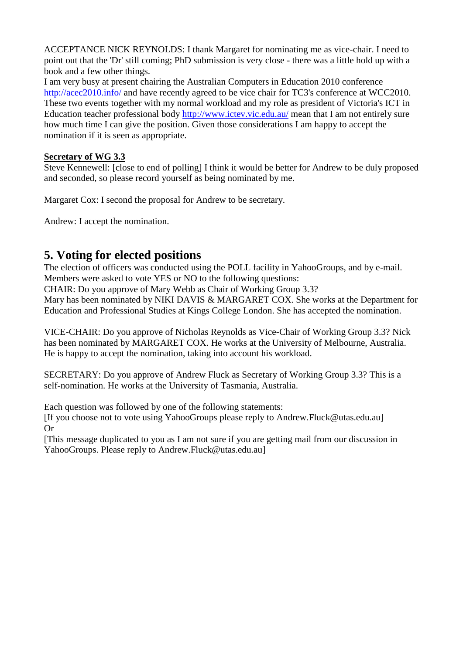ACCEPTANCE NICK REYNOLDS: I thank Margaret for nominating me as vice-chair. I need to point out that the 'Dr' still coming; PhD submission is very close - there was a little hold up with a book and a few other things.

I am very busy at present chairing the Australian Computers in Education 2010 conference <http://acec2010.info/> and have recently agreed to be vice chair for TC3's conference at WCC2010. These two events together with my normal workload and my role as president of Victoria's ICT in Education teacher professional body<http://www.ictev.vic.edu.au/> mean that I am not entirely sure how much time I can give the position. Given those considerations I am happy to accept the nomination if it is seen as appropriate.

### **Secretary of WG 3.3**

Steve Kennewell: [close to end of polling] I think it would be better for Andrew to be duly proposed and seconded, so please record yourself as being nominated by me.

Margaret Cox: I second the proposal for Andrew to be secretary.

Andrew: I accept the nomination.

# **5. Voting for elected positions**

The election of officers was conducted using the POLL facility in YahooGroups, and by e-mail. Members were asked to vote YES or NO to the following questions:

CHAIR: Do you approve of Mary Webb as Chair of Working Group 3.3?

Mary has been nominated by NIKI DAVIS & MARGARET COX. She works at the Department for Education and Professional Studies at Kings College London. She has accepted the nomination.

VICE-CHAIR: Do you approve of Nicholas Reynolds as Vice-Chair of Working Group 3.3? Nick has been nominated by MARGARET COX. He works at the University of Melbourne, Australia. He is happy to accept the nomination, taking into account his workload.

SECRETARY: Do you approve of Andrew Fluck as Secretary of Working Group 3.3? This is a self-nomination. He works at the University of Tasmania, Australia.

Each question was followed by one of the following statements:

[If you choose not to vote using YahooGroups please reply to [Andrew.Fluck@utas.edu.au\]](mailto:Andrew.Fluck@utas.edu.au) Or

[This message duplicated to you as I am not sure if you are getting mail from our discussion in YahooGroups. Please reply to Andrew.Fluck@utas.edu.au]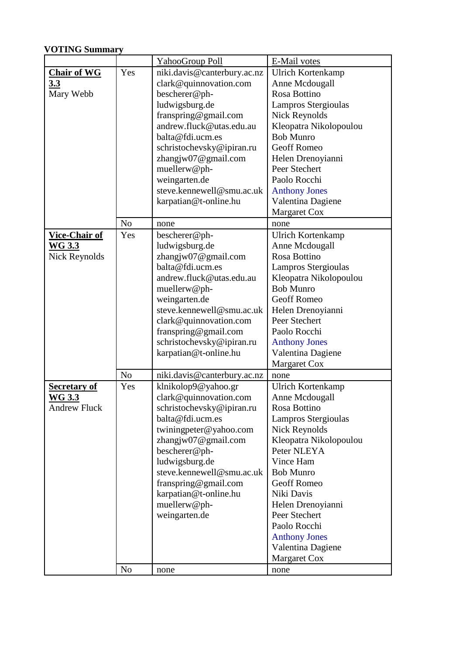## **VOTING Summary**

|                      |                | <b>YahooGroup Poll</b>      | E-Mail votes             |
|----------------------|----------------|-----------------------------|--------------------------|
| <b>Chair of WG</b>   | Yes            | niki.davis@canterbury.ac.nz | <b>Ulrich Kortenkamp</b> |
| <u>3.3</u>           |                | clark@quinnovation.com      | Anne Mcdougall           |
| Mary Webb            |                | bescherer@ph-               | Rosa Bottino             |
|                      |                | ludwigsburg.de              | Lampros Stergioulas      |
|                      |                | franspring@gmail.com        | <b>Nick Reynolds</b>     |
|                      |                | andrew.fluck@utas.edu.au    | Kleopatra Nikolopoulou   |
|                      |                | balta@fdi.ucm.es            | <b>Bob Munro</b>         |
|                      |                | schristochevsky@ipiran.ru   | <b>Geoff Romeo</b>       |
|                      |                | zhangjw07@gmail.com         | Helen Drenoyianni        |
|                      |                | muellerw@ph-                | Peer Stechert            |
|                      |                | weingarten.de               | Paolo Rocchi             |
|                      |                | steve.kennewell@smu.ac.uk   | <b>Anthony Jones</b>     |
|                      |                | karpatian@t-online.hu       | Valentina Dagiene        |
|                      |                |                             | Margaret Cox             |
|                      | N <sub>o</sub> | none                        | none                     |
| Vice-Chair of        | Yes            | bescherer@ph-               | <b>Ulrich Kortenkamp</b> |
| <u>WG 3.3</u>        |                | ludwigsburg.de              | Anne Mcdougall           |
| <b>Nick Reynolds</b> |                | zhangjw07@gmail.com         | Rosa Bottino             |
|                      |                | balta@fdi.ucm.es            | Lampros Stergioulas      |
|                      |                | andrew.fluck@utas.edu.au    | Kleopatra Nikolopoulou   |
|                      |                | muellerw@ph-                | <b>Bob Munro</b>         |
|                      |                | weingarten.de               | <b>Geoff Romeo</b>       |
|                      |                | steve.kennewell@smu.ac.uk   | Helen Drenoyianni        |
|                      |                | clark@quinnovation.com      | Peer Stechert            |
|                      |                | franspring@gmail.com        | Paolo Rocchi             |
|                      |                | schristochevsky@ipiran.ru   | <b>Anthony Jones</b>     |
|                      |                | karpatian@t-online.hu       | Valentina Dagiene        |
|                      |                |                             | Margaret Cox             |
|                      | N <sub>o</sub> | niki.davis@canterbury.ac.nz | none                     |
| <u>Secretary of</u>  | Yes            | klnikolop9@yahoo.gr         | <b>Ulrich Kortenkamp</b> |
| <u>WG 3.3</u>        |                | clark@quinnovation.com      | Anne Mcdougall           |
| <b>Andrew Fluck</b>  |                | schristochevsky@ipiran.ru   | Rosa Bottino             |
|                      |                | balta@fdi.ucm.es            | Lampros Stergioulas      |
|                      |                | twiningpeter@yahoo.com      | Nick Reynolds            |
|                      |                | zhangjw07@gmail.com         | Kleopatra Nikolopoulou   |
|                      |                | bescherer@ph-               | Peter NLEYA              |
|                      |                | ludwigsburg.de              | Vince Ham                |
|                      |                | steve.kennewell@smu.ac.uk   | <b>Bob Munro</b>         |
|                      |                | franspring@gmail.com        | <b>Geoff Romeo</b>       |
|                      |                | karpatian@t-online.hu       | Niki Davis               |
|                      |                | muellerw@ph-                | Helen Drenoyianni        |
|                      |                | weingarten.de               | Peer Stechert            |
|                      |                |                             | Paolo Rocchi             |
|                      |                |                             | <b>Anthony Jones</b>     |
|                      |                |                             | Valentina Dagiene        |
|                      |                |                             | Margaret Cox             |
|                      | N <sub>o</sub> | none                        | none                     |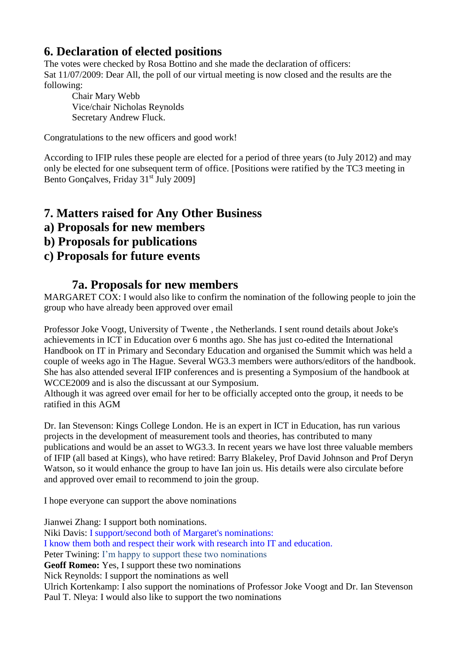# **6. Declaration of elected positions**

The votes were checked by Rosa Bottino and she made the declaration of officers: Sat 11/07/2009: Dear All, the poll of our virtual meeting is now closed and the results are the following:

Chair Mary Webb Vice/chair Nicholas Reynolds Secretary Andrew Fluck.

Congratulations to the new officers and good work!

According to IFIP rules these people are elected for a period of three years (to July 2012) and may only be elected for one subsequent term of office. [Positions were ratified by the TC3 meeting in Bento Gonçalves, Friday 31<sup>st</sup> July 2009]

## **7. Matters raised for Any Other Business**

- **a) Proposals for new members**
- **b) Proposals for publications**

## **c) Proposals for future events**

## **7a. Proposals for new members**

MARGARET COX: I would also like to confirm the nomination of the following people to join the group who have already been approved over email

Professor Joke Voogt, University of Twente , the Netherlands. I sent round details about Joke's achievements in ICT in Education over 6 months ago. She has just co-edited the International Handbook on IT in Primary and Secondary Education and organised the Summit which was held a couple of weeks ago in The Hague. Several WG3.3 members were authors/editors of the handbook. She has also attended several IFIP conferences and is presenting a Symposium of the handbook at WCCE2009 and is also the discussant at our Symposium.

Although it was agreed over email for her to be officially accepted onto the group, it needs to be ratified in this AGM

Dr. Ian Stevenson: Kings College London. He is an expert in ICT in Education, has run various projects in the development of measurement tools and theories, has contributed to many publications and would be an asset to WG3.3. In recent years we have lost three valuable members of IFIP (all based at Kings), who have retired: Barry Blakeley, Prof David Johnson and Prof Deryn Watson, so it would enhance the group to have Ian join us. His details were also circulate before and approved over email to recommend to join the group.

I hope everyone can support the above nominations

Jianwei Zhang: I support both nominations.

Niki Davis: I support/second both of Margaret's nominations: I know them both and respect their work with research into IT and education.

Peter Twining: I'm happy to support these two nominations

**Geoff Romeo:** Yes, I support these two nominations

Nick Reynolds: I support the nominations as well

Ulrich Kortenkamp: I also support the nominations of Professor Joke Voogt and Dr. Ian Stevenson Paul T. Nleya: I would also like to support the two nominations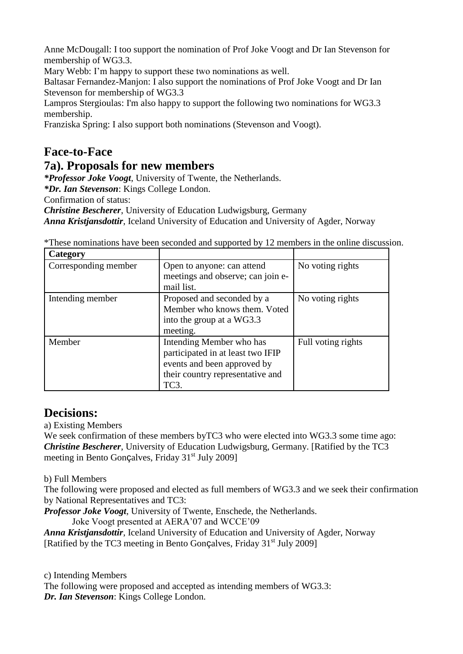Anne McDougall: I too support the nomination of Prof Joke Voogt and Dr Ian Stevenson for membership of WG3.3.

Mary Webb: I'm happy to support these two nominations as well.

Baltasar Fernandez-Manjon: I also support the nominations of Prof Joke Voogt and Dr Ian Stevenson for membership of WG3.3

Lampros Stergioulas: I'm also happy to support the following two nominations for WG3.3 membership.

Franziska Spring: I also support both nominations (Stevenson and Voogt).

# **Face-to-Face**

## **7a). Proposals for new members**

*\*Professor Joke Voogt*, University of Twente, the Netherlands.

*\*Dr. Ian Stevenson*: Kings College London.

Confirmation of status:

*Christine Bescherer*, University of Education Ludwigsburg, Germany

*Anna Kristjansdottir*, Iceland University of Education and University of Agder, Norway

\*These nominations have been seconded and supported by 12 members in the online discussion.

| Category             |                                                                                                                                          |                    |
|----------------------|------------------------------------------------------------------------------------------------------------------------------------------|--------------------|
| Corresponding member | Open to anyone: can attend<br>meetings and observe; can join e-<br>mail list.                                                            | No voting rights   |
| Intending member     | Proposed and seconded by a<br>Member who knows them. Voted<br>into the group at a WG3.3<br>meeting.                                      | No voting rights   |
| Member               | Intending Member who has<br>participated in at least two IFIP<br>events and been approved by<br>their country representative and<br>TC3. | Full voting rights |

## **Decisions:**

a) Existing Members

We seek confirmation of these members byTC3 who were elected into WG3.3 some time ago: *Christine Bescherer*, University of Education Ludwigsburg, Germany. [Ratified by the TC3 meeting in Bento Gonçalves, Friday 31<sup>st</sup> July 2009]

b) Full Members

The following were proposed and elected as full members of WG3.3 and we seek their confirmation by National Representatives and TC3:

*Professor Joke Voogt*, University of Twente, Enschede, the Netherlands.

Joke Voogt presented at AERA'07 and WCCE'09

*Anna Kristjansdottir*, Iceland University of Education and University of Agder, Norway [Ratified by the TC3 meeting in Bento Gonçalves, Friday 31<sup>st</sup> July 2009]

c) Intending Members

The following were proposed and accepted as intending members of WG3.3: *Dr. Ian Stevenson*: Kings College London.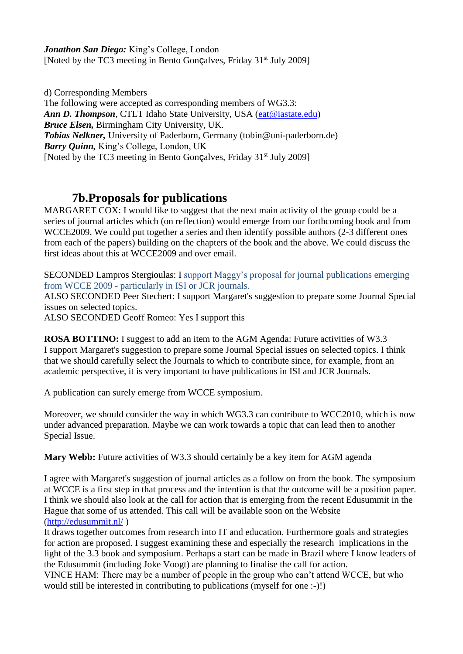*Jonathon San Diego:* King's College, London [Noted by the TC3 meeting in Bento Gonçalves, Friday 31<sup>st</sup> July 2009]

d) Corresponding Members The following were accepted as corresponding members of WG3.3: *Ann D. Thompson*, CTLT Idaho State University, USA [\(eat@iastate.edu\)](mailto:eat@iastate.edu) *Bruce Elsen,* Birmingham City University, UK. *Tobias Nelkner,* University of Paderborn, Germany (tobin@uni-paderborn.de) *Barry Quinn,* King's College, London, UK [Noted by the TC3 meeting in Bento Gonçalves, Friday 31<sup>st</sup> July 2009]

## **7b.Proposals for publications**

MARGARET COX: I would like to suggest that the next main activity of the group could be a series of journal articles which (on reflection) would emerge from our forthcoming book and from WCCE2009. We could put together a series and then identify possible authors (2-3 different ones from each of the papers) building on the chapters of the book and the above. We could discuss the first ideas about this at WCCE2009 and over email.

SECONDED Lampros Stergioulas: I support Maggy's proposal for journal publications emerging from WCCE 2009 - particularly in ISI or JCR journals.

ALSO SECONDED Peer Stechert: I support Margaret's suggestion to prepare some Journal Special issues on selected topics.

ALSO SECONDED Geoff Romeo: Yes I support this

**ROSA BOTTINO:** I suggest to add an item to the AGM Agenda: Future activities of W3.3 I support Margaret's suggestion to prepare some Journal Special issues on selected topics. I think that we should carefully select the Journals to which to contribute since, for example, from an academic perspective, it is very important to have publications in ISI and JCR Journals.

A publication can surely emerge from WCCE symposium.

Moreover, we should consider the way in which WG3.3 can contribute to WCC2010, which is now under advanced preparation. Maybe we can work towards a topic that can lead then to another Special Issue.

**Mary Webb:** Future activities of W3.3 should certainly be a key item for AGM agenda

I agree with Margaret's suggestion of journal articles as a follow on from the book. The symposium at WCCE is a first step in that process and the intention is that the outcome will be a position paper. I think we should also look at the call for action that is emerging from the recent Edusummit in the Hague that some of us attended. This call will be available soon on the Website [\(http://edusummit.nl/](http://edusummit.nl/) )

It draws together outcomes from research into IT and education. Furthermore goals and strategies for action are proposed. I suggest examining these and especially the research implications in the light of the 3.3 book and symposium. Perhaps a start can be made in Brazil where I know leaders of the Edusummit (including Joke Voogt) are planning to finalise the call for action.

VINCE HAM: There may be a number of people in the group who can't attend WCCE, but who would still be interested in contributing to publications (myself for one :-)!)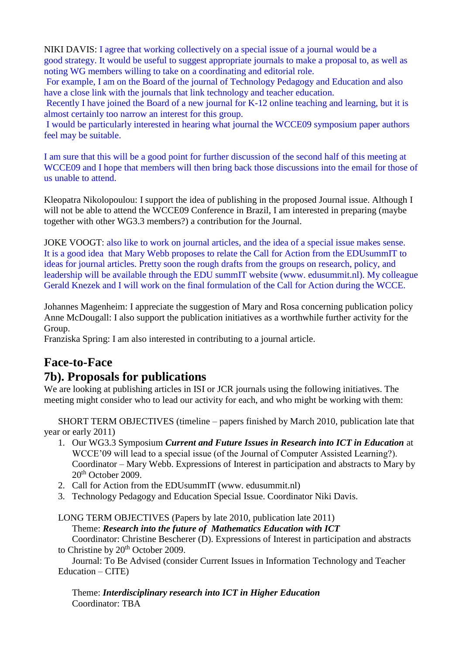NIKI DAVIS: I agree that working collectively on a special issue of a journal would be a good strategy. It would be useful to suggest appropriate journals to make a proposal to, as well as noting WG members willing to take on a coordinating and editorial role.

For example, I am on the Board of the journal of Technology Pedagogy and Education and also have a close link with the journals that link technology and teacher education.

Recently I have joined the Board of a new journal for K-12 online teaching and learning, but it is almost certainly too narrow an interest for this group.

I would be particularly interested in hearing what journal the WCCE09 symposium paper authors feel may be suitable.

I am sure that this will be a good point for further discussion of the second half of this meeting at WCCE09 and I hope that members will then bring back those discussions into the email for those of us unable to attend.

Kleopatra Nikolopoulou: I support the idea of publishing in the proposed Journal issue. Although I will not be able to attend the WCCE09 Conference in Brazil, I am interested in preparing (maybe together with other WG3.3 members?) a contribution for the Journal.

JOKE VOOGT: also like to work on journal articles, and the idea of a special issue makes sense. It is a good idea that Mary Webb proposes to relate the Call for Action from the EDUsummIT to ideas for journal articles. Pretty soon the rough drafts from the groups on research, policy, and leadership will be available through the EDU summIT website (www. edusummit.nl). My colleague Gerald Knezek and I will work on the final formulation of the Call for Action during the WCCE.

Johannes Magenheim: I appreciate the suggestion of Mary and Rosa concerning publication policy Anne McDougall: I also support the publication initiatives as a worthwhile further activity for the Group.

Franziska Spring: I am also interested in contributing to a journal article.

## **Face-to-Face**

## **7b). Proposals for publications**

We are looking at publishing articles in ISI or JCR journals using the following initiatives. The meeting might consider who to lead our activity for each, and who might be working with them:

SHORT TERM OBJECTIVES (timeline – papers finished by March 2010, publication late that year or early 2011)

- 1. Our WG3.3 Symposium *Current and Future Issues in Research into ICT in Education* at WCCE'09 will lead to a special issue (of the Journal of Computer Assisted Learning?). Coordinator – Mary Webb. Expressions of Interest in participation and abstracts to Mary by 20<sup>th</sup> October 2009.
- 2. Call for Action from the EDUsummIT (www. edusummit.nl)
- 3. Technology Pedagogy and Education Special Issue. Coordinator Niki Davis.

LONG TERM OBJECTIVES (Papers by late 2010, publication late 2011)

Theme: *Research into the future of Mathematics Education with ICT*

Coordinator: Christine Bescherer (D). Expressions of Interest in participation and abstracts to Christine by 20<sup>th</sup> October 2009.

 Journal: To Be Advised (consider Current Issues in Information Technology and Teacher Education – CITE)

Theme: *Interdisciplinary research into ICT in Higher Education* Coordinator: TBA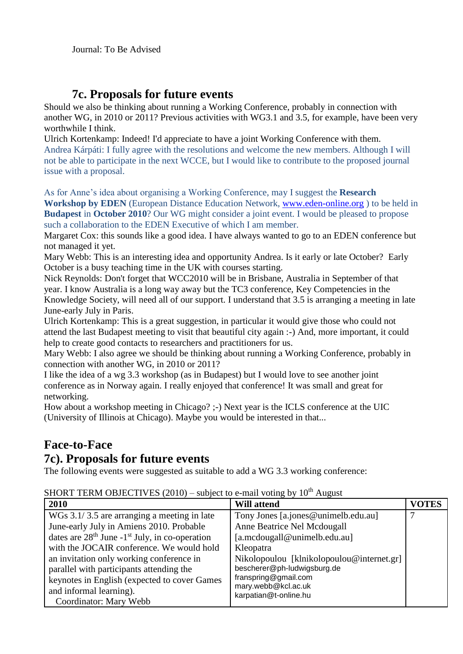# **7c. Proposals for future events**

Should we also be thinking about running a Working Conference, probably in connection with another WG, in 2010 or 2011? Previous activities with WG3.1 and 3.5, for example, have been very worthwhile I think.

Ulrich Kortenkamp: Indeed! I'd appreciate to have a joint Working Conference with them. Andrea Kárpáti: I fully agree with the resolutions and welcome the new members. Although I will not be able to participate in the next WCCE, but I would like to contribute to the proposed journal issue with a proposal.

As for Anne's idea about organising a Working Conference, may I suggest the **Research Workshop by EDEN** (European Distance Education Network, [www.eden-online.org](http://www.eden-online.org/) ) to be held in **Budapest** in **October 2010**? Our WG might consider a joint event. I would be pleased to propose

such a collaboration to the EDEN Executive of which I am member.

Margaret Cox: this sounds like a good idea. I have always wanted to go to an EDEN conference but not managed it yet.

Mary Webb: This is an interesting idea and opportunity Andrea. Is it early or late October? Early October is a busy teaching time in the UK with courses starting.

Nick Reynolds: Don't forget that WCC2010 will be in Brisbane, Australia in September of that year. I know Australia is a long way away but the TC3 conference, Key Competencies in the Knowledge Society, will need all of our support. I understand that 3.5 is arranging a meeting in late June-early July in Paris.

Ulrich Kortenkamp: This is a great suggestion, in particular it would give those who could not attend the last Budapest meeting to visit that beautiful city again :-) And, more important, it could help to create good contacts to researchers and practitioners for us.

Mary Webb: I also agree we should be thinking about running a Working Conference, probably in connection with another WG, in 2010 or 2011?

I like the idea of a wg 3.3 workshop (as in Budapest) but I would love to see another joint conference as in Norway again. I really enjoyed that conference! It was small and great for networking.

How about a workshop meeting in Chicago? ;-) Next year is the ICLS conference at the UIC (University of Illinois at Chicago). Maybe you would be interested in that...

# **Face-to-Face**

# **7c). Proposals for future events**

The following events were suggested as suitable to add a WG 3.3 working conference:

| SHORT TERM OBJECTIVES (2010) – subject to e-mail voting by $10^{th}$ August |
|-----------------------------------------------------------------------------|
|-----------------------------------------------------------------------------|

| 2010                                                         | <b>Will attend</b>                           | <b>VOTES</b> |
|--------------------------------------------------------------|----------------------------------------------|--------------|
| WGs 3.1/3.5 are arranging a meeting in late                  | Tony Jones [a.jones@unimelb.edu.au]          |              |
| June-early July in Amiens 2010. Probable                     | Anne Beatrice Nel Mcdougall                  |              |
| dates are $28th$ June -1 <sup>st</sup> July, in co-operation | [a.mcdougall@unimelb.edu.au]                 |              |
| with the JOCAIR conference. We would hold                    | Kleopatra                                    |              |
| an invitation only working conference in                     | Nikolopoulou [klnikolopoulou@internet.gr]    |              |
| parallel with participants attending the                     | bescherer@ph-ludwigsburg.de                  |              |
| keynotes in English (expected to cover Games                 | franspring@gmail.com                         |              |
| and informal learning).                                      | mary.webb@kcl.ac.uk<br>karpatian@t-online.hu |              |
| Coordinator: Mary Webb                                       |                                              |              |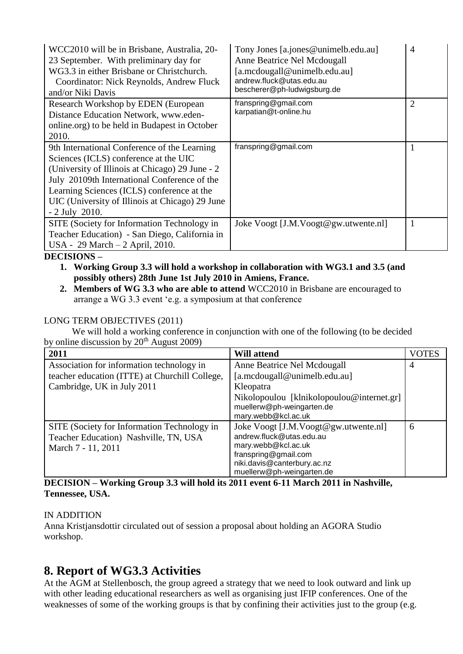| WCC2010 will be in Brisbane, Australia, 20-<br>23 September. With preliminary day for<br>WG3.3 in either Brisbane or Christchurch.<br>Coordinator: Nick Reynolds, Andrew Fluck<br>and/or Niki Davis                                                                                                          | Tony Jones [a.jones@unimelb.edu.au]<br>Anne Beatrice Nel Mcdougall<br>[a.mcdougall@unimelb.edu.au]<br>andrew.fluck@utas.edu.au<br>bescherer@ph-ludwigsburg.de | $\overline{4}$ |
|--------------------------------------------------------------------------------------------------------------------------------------------------------------------------------------------------------------------------------------------------------------------------------------------------------------|---------------------------------------------------------------------------------------------------------------------------------------------------------------|----------------|
| Research Workshop by EDEN (European<br>Distance Education Network, www.eden-<br>online.org) to be held in Budapest in October<br>2010.                                                                                                                                                                       | franspring@gmail.com<br>karpatian@t-online.hu                                                                                                                 | $\overline{2}$ |
| 9th International Conference of the Learning<br>Sciences (ICLS) conference at the UIC<br>(University of Illinois at Chicago) 29 June - 2<br>July 20109th International Conference of the<br>Learning Sciences (ICLS) conference at the<br>UIC (University of Illinois at Chicago) 29 June<br>$-2$ July 2010. | franspring@gmail.com                                                                                                                                          |                |
| SITE (Society for Information Technology in<br>Teacher Education) - San Diego, California in<br>USA - 29 March - 2 April, 2010.                                                                                                                                                                              | Joke Voogt [J.M.Voogt@gw.utwente.nl]                                                                                                                          |                |

#### **DECISIONS –**

- **1. Working Group 3.3 will hold a workshop in collaboration with WG3.1 and 3.5 (and possibly others) 28th June 1st July 2010 in Amiens, France.**
- **2. Members of WG 3.3 who are able to attend** WCC2010 in Brisbane are encouraged to arrange a WG 3.3 event 'e.g. a symposium at that conference

#### LONG TERM OBJECTIVES (2011)

 We will hold a working conference in conjunction with one of the following (to be decided by online discussion by  $20<sup>th</sup>$  August 2009)

| 2011                                           | <b>Will attend</b>                        | VOTES |
|------------------------------------------------|-------------------------------------------|-------|
| Association for information technology in      | Anne Beatrice Nel Mcdougall               | 4     |
| teacher education (ITTE) at Churchill College, | [a.mcdougall@unimelb.edu.au]              |       |
| Cambridge, UK in July 2011                     | Kleopatra                                 |       |
|                                                | Nikolopoulou [klnikolopoulou@internet.gr] |       |
|                                                | muellerw@ph-weingarten.de                 |       |
|                                                | mary.webb@kcl.ac.uk                       |       |
| SITE (Society for Information Technology in    | Joke Voogt [J.M.Voogt@gw.utwente.nl]      | 6     |
| Teacher Education) Nashville, TN, USA          | andrew.fluck@utas.edu.au                  |       |
| March 7 - 11, 2011                             | mary.webb@kcl.ac.uk                       |       |
|                                                | franspring@gmail.com                      |       |
|                                                | niki.davis@canterbury.ac.nz               |       |
|                                                | muellerw@ph-weingarten.de                 |       |

#### **DECISION – Working Group 3.3 will hold its 2011 event 6-11 March 2011 in Nashville, Tennessee, USA.**

#### IN ADDITION

Anna Kristjansdottir circulated out of session a proposal about holding an AGORA Studio workshop.

## **8. Report of WG3.3 Activities**

At the AGM at Stellenbosch, the group agreed a strategy that we need to look outward and link up with other leading educational researchers as well as organising just IFIP conferences. One of the weaknesses of some of the working groups is that by confining their activities just to the group (e.g.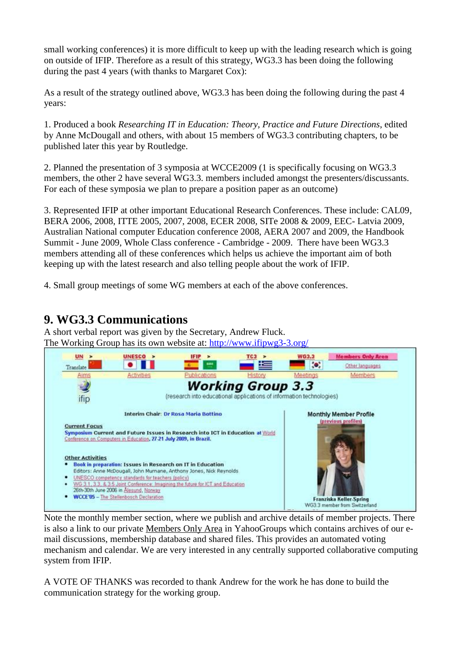small working conferences) it is more difficult to keep up with the leading research which is going on outside of IFIP. Therefore as a result of this strategy, WG3.3 has been doing the following during the past 4 years (with thanks to Margaret Cox):

As a result of the strategy outlined above, WG3.3 has been doing the following during the past 4 years:

1. Produced a book *Researching IT in Education: Theory, Practice and Future Directions*, edited by Anne McDougall and others, with about 15 members of WG3.3 contributing chapters, to be published later this year by Routledge.

2. Planned the presentation of 3 symposia at WCCE2009 (1 is specifically focusing on WG3.3 members, the other 2 have several WG3.3. members included amongst the presenters/discussants. For each of these symposia we plan to prepare a position paper as an outcome)

3. Represented IFIP at other important Educational Research Conferences. These include: CAL09, BERA 2006, 2008, ITTE 2005, 2007, 2008, ECER 2008, SITe 2008 & 2009, EEC- Latvia 2009, Australian National computer Education conference 2008, AERA 2007 and 2009, the Handbook Summit - June 2009, Whole Class conference - Cambridge - 2009. There have been WG3.3 members attending all of these conferences which helps us achieve the important aim of both keeping up with the latest research and also telling people about the work of IFIP.

4. Small group meetings of some WG members at each of the above conferences.

# **9. WG3.3 Communications**

A short verbal report was given by the Secretary, Andrew Fluck. The Working Group has its own website at:<http://www.ifipwg3-3.org/>



Note the monthly member section, where we publish and archive details of member projects. There is also a link to our private Members Only Area in YahooGroups which contains archives of our email discussions, membership database and shared files. This provides an automated voting mechanism and calendar. We are very interested in any centrally supported collaborative computing system from IFIP.

A VOTE OF THANKS was recorded to thank Andrew for the work he has done to build the communication strategy for the working group.